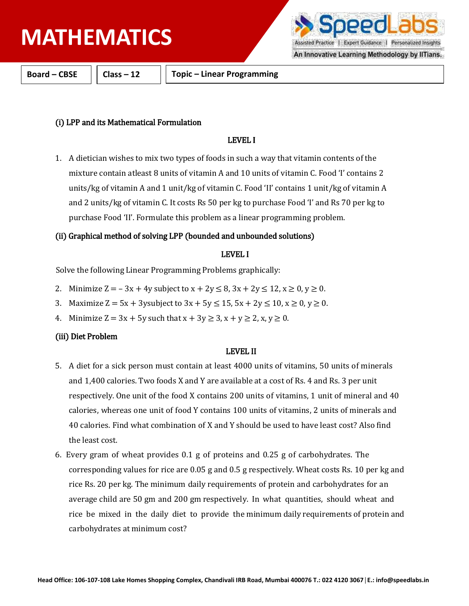Assisted Practice | Expert Guidance | Personalized Insights

An Innovative Learning Methodology by IITians.

**Board – CBSE Class – 12 Topic – Linear Programming**

## (i) LPP and its Mathematical Formulation

## LEVEL I

1. A dietician wishes to mix two types of foods in such a way that vitamin contents of the mixture contain atleast 8 units of vitamin A and 10 units of vitamin C. Food 'I' contains 2 units/kg of vitamin A and 1 unit/kg of vitamin C. Food 'II' contains 1 unit/kg of vitamin A and 2 units/kg of vitamin C. It costs Rs 50 per kg to purchase Food 'I' and Rs 70 per kg to purchase Food 'II'. Formulate this problem as a linear programming problem.

## (ii) Graphical method of solving LPP (bounded and unbounded solutions)

### LEVEL I

Solve the following Linear Programming Problems graphically:

- 2. Minimize  $Z = -3x + 4y$  subject to  $x + 2y \le 8$ ,  $3x + 2y \le 12$ ,  $x \ge 0$ ,  $y \ge 0$ .
- 3. Maximize  $Z = 5x + 3y$ subject to  $3x + 5y \le 15$ ,  $5x + 2y \le 10$ ,  $x \ge 0$ ,  $y \ge 0$ .
- 4. Minimize  $Z = 3x + 5y$  such that  $x + 3y \ge 3$ ,  $x + y \ge 2$ ,  $x, y \ge 0$ .

## (iii) Diet Problem

### LEVEL II

- 5. A diet for a sick person must contain at least 4000 units of vitamins, 50 units of minerals and 1,400 calories. Two foods X and Y are available at a cost of Rs. 4 and Rs. 3 per unit respectively. One unit of the food X contains 200 units of vitamins, 1 unit of mineral and 40 calories, whereas one unit of food Y contains 100 units of vitamins, 2 units of minerals and 40 calories. Find what combination of X and Y should be used to have least cost? Also find the least cost.
- 6. Every gram of wheat provides 0.1 g of proteins and 0.25 g of carbohydrates. The corresponding values for rice are 0.05 g and 0.5 g respectively. Wheat costs Rs. 10 per kg and rice Rs. 20 per kg. The minimum daily requirements of protein and carbohydrates for an average child are 50 gm and 200 gm respectively. In what quantities, should wheat and rice be mixed in the daily diet to provide the minimum daily requirements of protein and carbohydrates at minimum cost?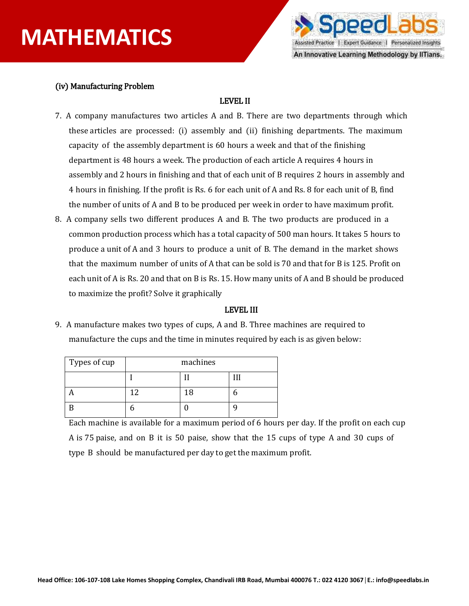

## (iv) Manufacturing Problem

## LEVEL II

- 7. A company manufactures two articles A and B. There are two departments through which these articles are processed: (i) assembly and (ii) finishing departments. The maximum capacity of the assembly department is 60 hours a week and that of the finishing department is 48 hours a week. The production of each article A requires 4 hours in assembly and 2 hours in finishing and that of each unit of B requires 2 hours in assembly and 4 hours in finishing. If the profit is Rs. 6 for each unit of A and Rs. 8 for each unit of B, find the number of units of A and B to be produced per week in order to have maximum profit.
- 8. A company sells two different produces A and B. The two products are produced in a common production process which has a total capacity of 500 man hours. It takes 5 hours to produce a unit of A and 3 hours to produce a unit of B. The demand in the market shows that the maximum number of units of A that can be sold is 70 and that for B is 125. Profit on each unit of A is Rs. 20 and that on B is Rs. 15. How many units of A and B should be produced to maximize the profit? Solve it graphically

#### LEVEL III

9. A manufacture makes two types of cups, A and B. Three machines are required to manufacture the cups and the time in minutes required by each is as given below:

| Types of cup | machines |    |  |
|--------------|----------|----|--|
|              |          |    |  |
|              | ר ו      | 18 |  |
|              |          |    |  |

Each machine is available for a maximum period of 6 hours per day. If the profit on each cup A is 75 paise, and on B it is 50 paise, show that the 15 cups of type A and 30 cups of type B should be manufactured per day to get the maximum profit.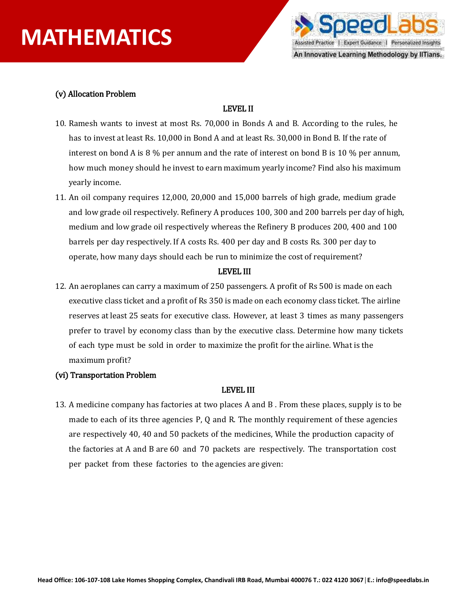

### (v) Allocation Problem

### LEVEL II

- 10. Ramesh wants to invest at most Rs. 70,000 in Bonds A and B. According to the rules, he has to invest at least Rs. 10,000 in Bond A and at least Rs. 30,000 in Bond B. If the rate of interest on bond A is 8 % per annum and the rate of interest on bond B is 10 % per annum, how much money should he invest to earn maximum yearly income? Find also his maximum yearly income.
- 11. An oil company requires 12,000, 20,000 and 15,000 barrels of high grade, medium grade and low grade oil respectively. Refinery A produces 100, 300 and 200 barrels per day of high, medium and low grade oil respectively whereas the Refinery B produces 200, 400 and 100 barrels per day respectively. If A costs Rs. 400 per day and B costs Rs. 300 per day to operate, how many days should each be run to minimize the cost of requirement?

#### LEVEL III

12. An aeroplanes can carry a maximum of 250 passengers. A profit of Rs 500 is made on each executive class ticket and a profit of Rs 350 is made on each economy class ticket. The airline reserves at least 25 seats for executive class. However, at least 3 times as many passengers prefer to travel by economy class than by the executive class. Determine how many tickets of each type must be sold in order to maximize the profit for the airline. What is the maximum profit?

### (vi) Transportation Problem

#### LEVEL III

13. A medicine company has factories at two places A and B . From these places, supply is to be made to each of its three agencies P, Q and R. The monthly requirement of these agencies are respectively 40, 40 and 50 packets of the medicines, While the production capacity of the factories at A and B are 60 and 70 packets are respectively. The transportation cost per packet from these factories to the agencies are given: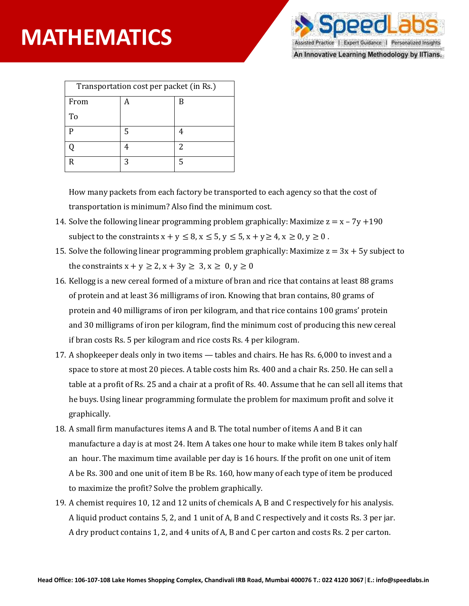

An Innovative Learning Methodology by IITians.

| Transportation cost per packet (in Rs.) |   |   |  |
|-----------------------------------------|---|---|--|
| From                                    |   | B |  |
| To                                      |   |   |  |
| D                                       | 5 |   |  |
|                                         |   | 2 |  |
| R                                       | 3 | 5 |  |

How many packets from each factory be transported to each agency so that the cost of transportation is minimum? Also find the minimum cost.

- 14. Solve the following linear programming problem graphically: Maximize  $z = x 7y + 190$ subject to the constraints  $x + y \le 8$ ,  $x \le 5$ ,  $y \le 5$ ,  $x + y \ge 4$ ,  $x \ge 0$ ,  $y \ge 0$ .
- 15. Solve the following linear programming problem graphically: Maximize  $z = 3x + 5y$  subject to the constraints  $x + y \ge 2$ ,  $x + 3y \ge 3$ ,  $x \ge 0$ ,  $y \ge 0$
- 16. Kellogg is a new cereal formed of a mixture of bran and rice that contains at least 88 grams of protein and at least 36 milligrams of iron. Knowing that bran contains, 80 grams of protein and 40 milligrams of iron per kilogram, and that rice contains 100 grams' protein and 30 milligrams of iron per kilogram, find the minimum cost of producing this new cereal if bran costs Rs. 5 per kilogram and rice costs Rs. 4 per kilogram.
- 17. A shopkeeper deals only in two items tables and chairs. He has Rs. 6,000 to invest and a space to store at most 20 pieces. A table costs him Rs. 400 and a chair Rs. 250. He can sell a table at a profit of Rs. 25 and a chair at a profit of Rs. 40. Assume that he can sell all items that he buys. Using linear programming formulate the problem for maximum profit and solve it graphically.
- 18. A small firm manufactures items A and B. The total number of items A and B it can manufacture a day is at most 24. Item A takes one hour to make while item B takes only half an hour. The maximum time available per day is 16 hours. If the profit on one unit of item A be Rs. 300 and one unit of item B be Rs. 160, how many of each type of item be produced to maximize the profit? Solve the problem graphically.
- 19. A chemist requires 10, 12 and 12 units of chemicals A, B and C respectively for his analysis. A liquid product contains 5, 2, and 1 unit of A, B and C respectively and it costs Rs. 3 per jar. A dry product contains 1, 2, and 4 units of A, B and C per carton and costs Rs. 2 per carton.